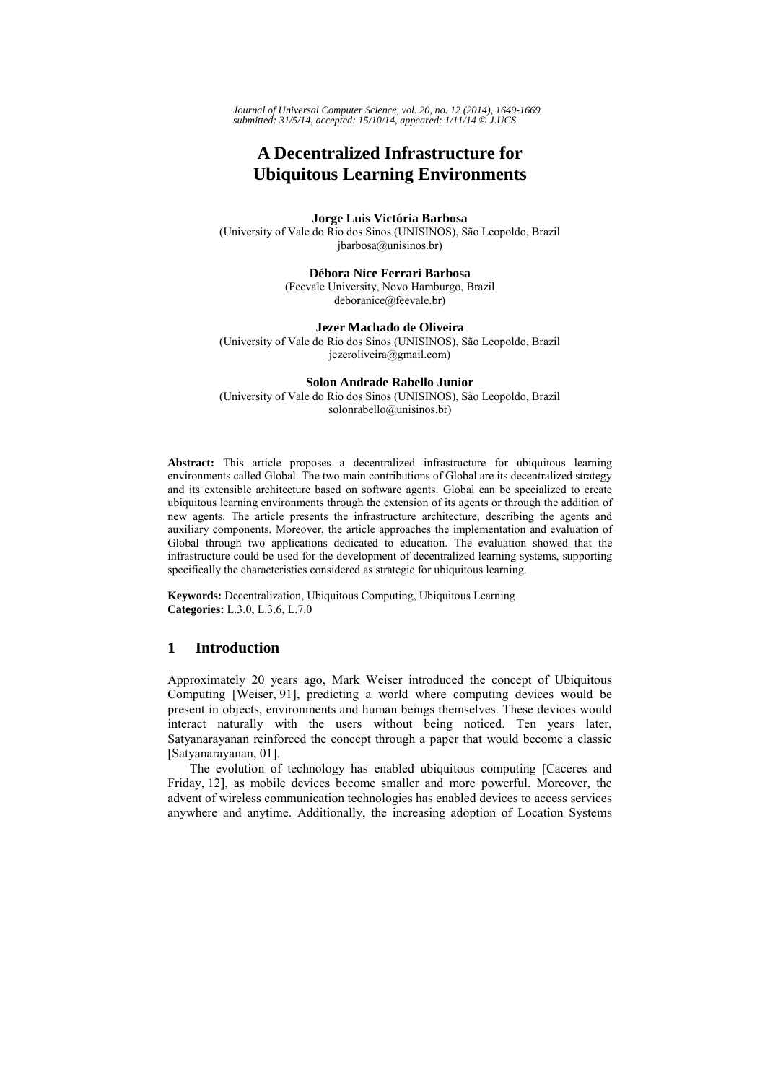*Journal of Universal Computer Science, vol. 20, no. 12 (2014), 1649-1669 submitted: 31/5/14, accepted: 15/10/14, appeared: 1/11/14* © *J.UCS*

# **A Decentralized Infrastructure for Ubiquitous Learning Environments**

**Jorge Luis Victória Barbosa**  (University of Vale do Rio dos Sinos (UNISINOS), São Leopoldo, Brazil jbarbosa@unisinos.br)

> **Débora Nice Ferrari Barbosa**  (Feevale University, Novo Hamburgo, Brazil deboranice@feevale.br)

**Jezer Machado de Oliveira** (University of Vale do Rio dos Sinos (UNISINOS), São Leopoldo, Brazil jezeroliveira@gmail.com)

**Solon Andrade Rabello Junior** (University of Vale do Rio dos Sinos (UNISINOS), São Leopoldo, Brazil solonrabello@unisinos.br)

**Abstract:** This article proposes a decentralized infrastructure for ubiquitous learning environments called Global. The two main contributions of Global are its decentralized strategy and its extensible architecture based on software agents. Global can be specialized to create ubiquitous learning environments through the extension of its agents or through the addition of new agents. The article presents the infrastructure architecture, describing the agents and auxiliary components. Moreover, the article approaches the implementation and evaluation of Global through two applications dedicated to education. The evaluation showed that the infrastructure could be used for the development of decentralized learning systems, supporting specifically the characteristics considered as strategic for ubiquitous learning.

**Keywords:** Decentralization, Ubiquitous Computing, Ubiquitous Learning **Categories:** L.3.0, L.3.6, L.7.0

# **1 Introduction**

Approximately 20 years ago, Mark Weiser introduced the concept of Ubiquitous Computing [Weiser, 91], predicting a world where computing devices would be present in objects, environments and human beings themselves. These devices would interact naturally with the users without being noticed. Ten years later, Satyanarayanan reinforced the concept through a paper that would become a classic [Satyanarayanan, 01].

The evolution of technology has enabled ubiquitous computing [Caceres and Friday, 12], as mobile devices become smaller and more powerful. Moreover, the advent of wireless communication technologies has enabled devices to access services anywhere and anytime. Additionally, the increasing adoption of Location Systems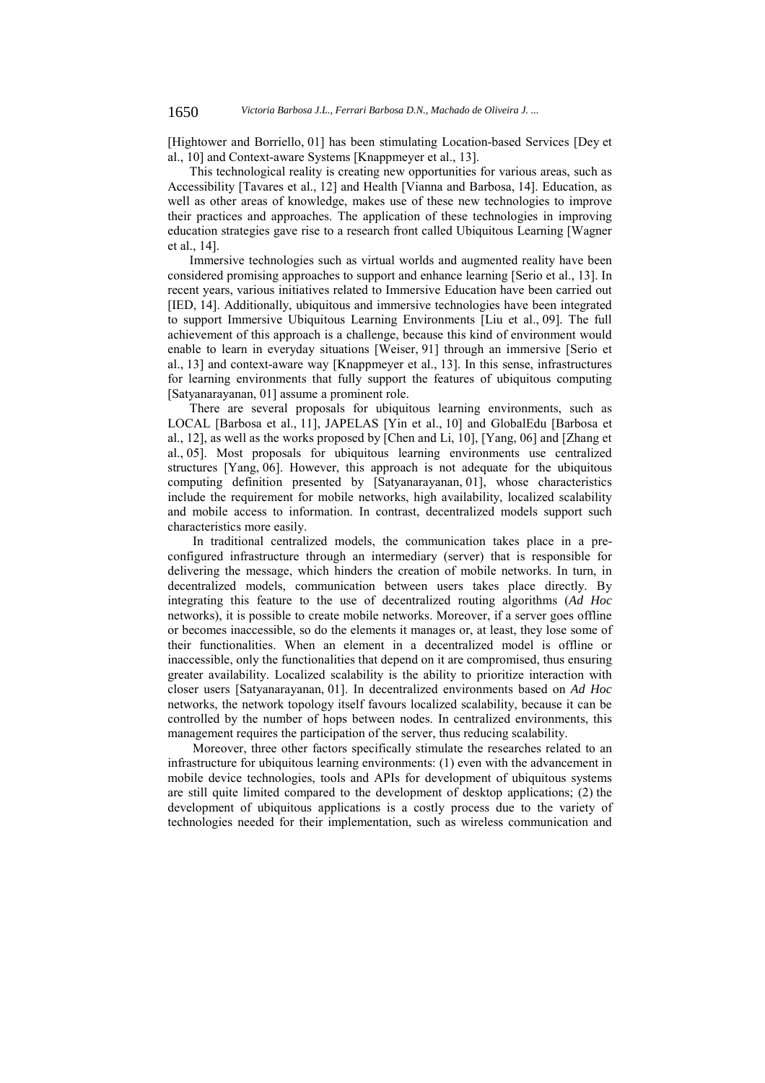[Hightower and Borriello, 01] has been stimulating Location-based Services [Dey et al., 10] and Context-aware Systems [Knappmeyer et al., 13].

This technological reality is creating new opportunities for various areas, such as Accessibility [Tavares et al., 12] and Health [Vianna and Barbosa, 14]. Education, as well as other areas of knowledge, makes use of these new technologies to improve their practices and approaches. The application of these technologies in improving education strategies gave rise to a research front called Ubiquitous Learning [Wagner et al., 14].

Immersive technologies such as virtual worlds and augmented reality have been considered promising approaches to support and enhance learning [Serio et al., 13]. In recent years, various initiatives related to Immersive Education have been carried out [IED, 14]. Additionally, ubiquitous and immersive technologies have been integrated to support Immersive Ubiquitous Learning Environments [Liu et al., 09]. The full achievement of this approach is a challenge, because this kind of environment would enable to learn in everyday situations [Weiser, 91] through an immersive [Serio et al., 13] and context-aware way [Knappmeyer et al., 13]. In this sense, infrastructures for learning environments that fully support the features of ubiquitous computing [Satyanarayanan, 01] assume a prominent role.

There are several proposals for ubiquitous learning environments, such as LOCAL [Barbosa et al., 11], JAPELAS [Yin et al., 10] and GlobalEdu [Barbosa et al., 12], as well as the works proposed by [Chen and Li, 10], [Yang, 06] and [Zhang et al., 05]. Most proposals for ubiquitous learning environments use centralized structures [Yang, 06]. However, this approach is not adequate for the ubiquitous computing definition presented by [Satyanarayanan, 01], whose characteristics include the requirement for mobile networks, high availability, localized scalability and mobile access to information. In contrast, decentralized models support such characteristics more easily.

 In traditional centralized models, the communication takes place in a preconfigured infrastructure through an intermediary (server) that is responsible for delivering the message, which hinders the creation of mobile networks. In turn, in decentralized models, communication between users takes place directly. By integrating this feature to the use of decentralized routing algorithms (*Ad Hoc*  networks), it is possible to create mobile networks. Moreover, if a server goes offline or becomes inaccessible, so do the elements it manages or, at least, they lose some of their functionalities. When an element in a decentralized model is offline or inaccessible, only the functionalities that depend on it are compromised, thus ensuring greater availability. Localized scalability is the ability to prioritize interaction with closer users [Satyanarayanan, 01]. In decentralized environments based on *Ad Hoc*  networks, the network topology itself favours localized scalability, because it can be controlled by the number of hops between nodes. In centralized environments, this management requires the participation of the server, thus reducing scalability.

 Moreover, three other factors specifically stimulate the researches related to an infrastructure for ubiquitous learning environments: (1) even with the advancement in mobile device technologies, tools and APIs for development of ubiquitous systems are still quite limited compared to the development of desktop applications; (2) the development of ubiquitous applications is a costly process due to the variety of technologies needed for their implementation, such as wireless communication and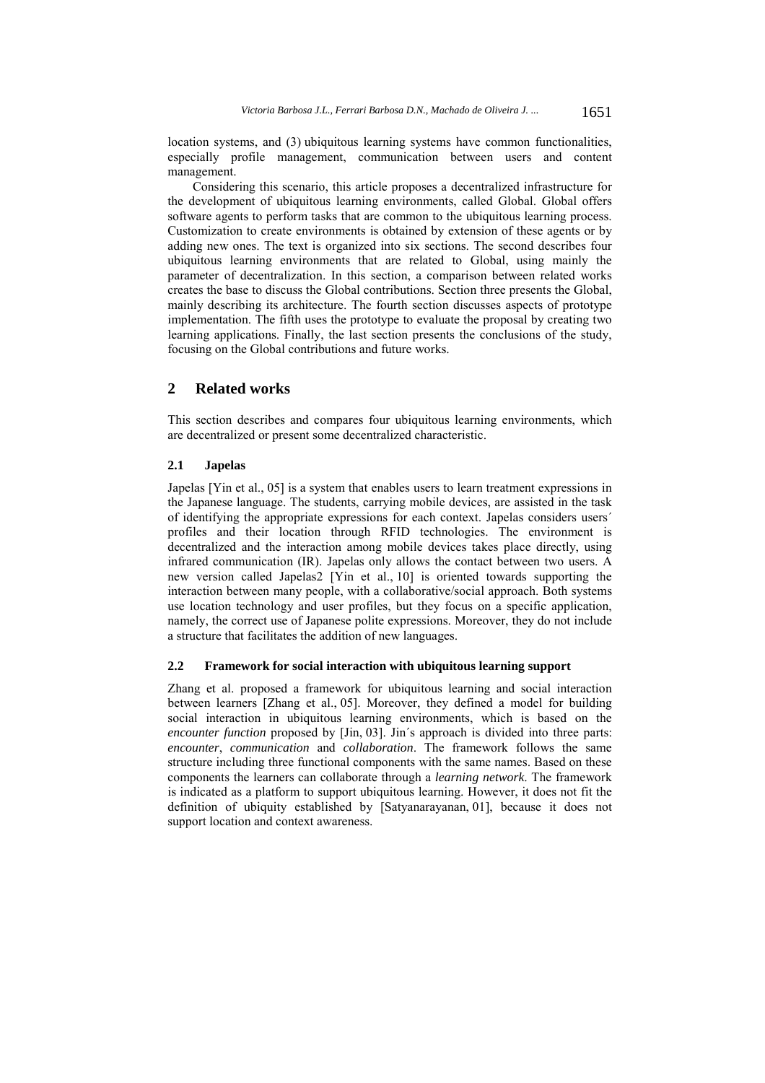location systems, and (3) ubiquitous learning systems have common functionalities, especially profile management, communication between users and content management.

 Considering this scenario, this article proposes a decentralized infrastructure for the development of ubiquitous learning environments, called Global. Global offers software agents to perform tasks that are common to the ubiquitous learning process. Customization to create environments is obtained by extension of these agents or by adding new ones. The text is organized into six sections. The second describes four ubiquitous learning environments that are related to Global, using mainly the parameter of decentralization. In this section, a comparison between related works creates the base to discuss the Global contributions. Section three presents the Global, mainly describing its architecture. The fourth section discusses aspects of prototype implementation. The fifth uses the prototype to evaluate the proposal by creating two learning applications. Finally, the last section presents the conclusions of the study, focusing on the Global contributions and future works.

# **2 Related works**

This section describes and compares four ubiquitous learning environments, which are decentralized or present some decentralized characteristic.

#### **2.1 Japelas**

Japelas [Yin et al., 05] is a system that enables users to learn treatment expressions in the Japanese language. The students, carrying mobile devices, are assisted in the task of identifying the appropriate expressions for each context. Japelas considers users´ profiles and their location through RFID technologies. The environment is decentralized and the interaction among mobile devices takes place directly, using infrared communication (IR). Japelas only allows the contact between two users. A new version called Japelas2 [Yin et al., 10] is oriented towards supporting the interaction between many people, with a collaborative/social approach. Both systems use location technology and user profiles, but they focus on a specific application, namely, the correct use of Japanese polite expressions. Moreover, they do not include a structure that facilitates the addition of new languages.

#### **2.2 Framework for social interaction with ubiquitous learning support**

Zhang et al. proposed a framework for ubiquitous learning and social interaction between learners [Zhang et al., 05]. Moreover, they defined a model for building social interaction in ubiquitous learning environments, which is based on the *encounter function* proposed by [Jin, 03]. Jin´s approach is divided into three parts: *encounter*, *communication* and *collaboration*. The framework follows the same structure including three functional components with the same names. Based on these components the learners can collaborate through a *learning network*. The framework is indicated as a platform to support ubiquitous learning. However, it does not fit the definition of ubiquity established by [Satyanarayanan, 01], because it does not support location and context awareness.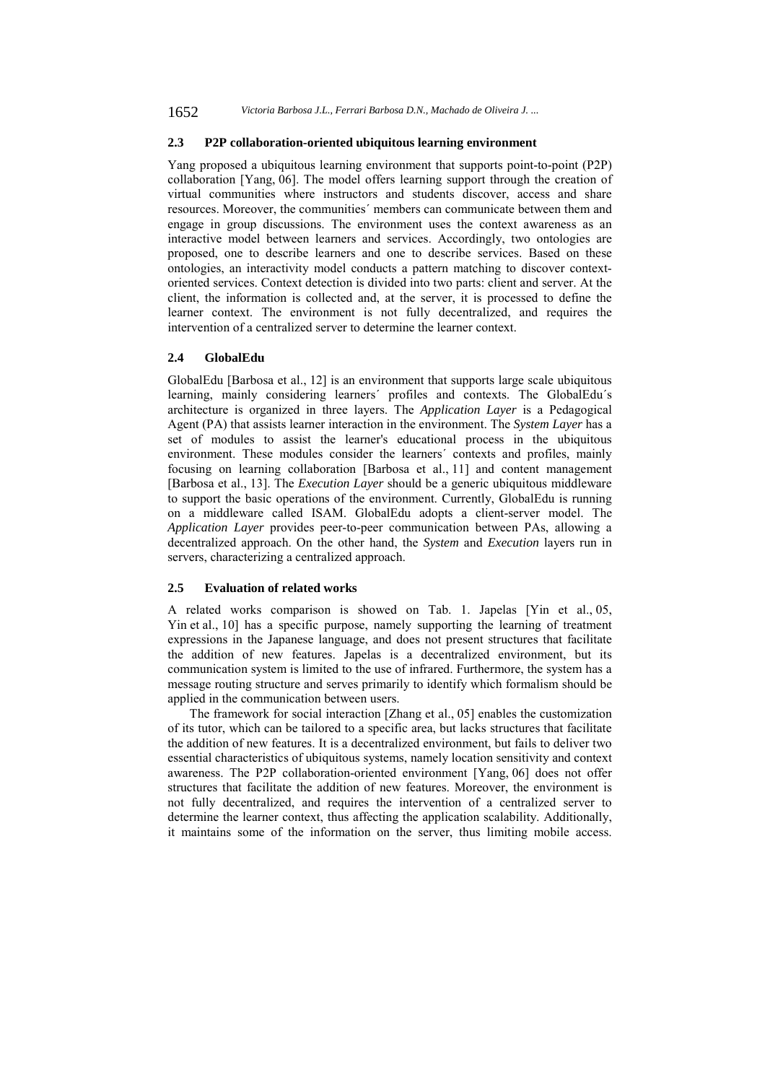# **2.3 P2P collaboration-oriented ubiquitous learning environment**

Yang proposed a ubiquitous learning environment that supports point-to-point (P2P) collaboration [Yang, 06]. The model offers learning support through the creation of virtual communities where instructors and students discover, access and share resources. Moreover, the communities´ members can communicate between them and engage in group discussions. The environment uses the context awareness as an interactive model between learners and services. Accordingly, two ontologies are proposed, one to describe learners and one to describe services. Based on these ontologies, an interactivity model conducts a pattern matching to discover contextoriented services. Context detection is divided into two parts: client and server. At the client, the information is collected and, at the server, it is processed to define the learner context. The environment is not fully decentralized, and requires the intervention of a centralized server to determine the learner context.

# **2.4 GlobalEdu**

GlobalEdu [Barbosa et al., 12] is an environment that supports large scale ubiquitous learning, mainly considering learners´ profiles and contexts. The GlobalEdu´s architecture is organized in three layers. The *Application Layer* is a Pedagogical Agent (PA) that assists learner interaction in the environment. The *System Layer* has a set of modules to assist the learner's educational process in the ubiquitous environment. These modules consider the learners´ contexts and profiles, mainly focusing on learning collaboration [Barbosa et al., 11] and content management [Barbosa et al., 13]. The *Execution Layer* should be a generic ubiquitous middleware to support the basic operations of the environment. Currently, GlobalEdu is running on a middleware called ISAM. GlobalEdu adopts a client-server model. The *Application Layer* provides peer-to-peer communication between PAs, allowing a decentralized approach. On the other hand, the *System* and *Execution* layers run in servers, characterizing a centralized approach.

# **2.5 Evaluation of related works**

A related works comparison is showed on Tab. 1. Japelas [Yin et al., 05, Yin et al., 10] has a specific purpose, namely supporting the learning of treatment expressions in the Japanese language, and does not present structures that facilitate the addition of new features. Japelas is a decentralized environment, but its communication system is limited to the use of infrared. Furthermore, the system has a message routing structure and serves primarily to identify which formalism should be applied in the communication between users.

The framework for social interaction [Zhang et al., 05] enables the customization of its tutor, which can be tailored to a specific area, but lacks structures that facilitate the addition of new features. It is a decentralized environment, but fails to deliver two essential characteristics of ubiquitous systems, namely location sensitivity and context awareness. The P2P collaboration-oriented environment [Yang, 06] does not offer structures that facilitate the addition of new features. Moreover, the environment is not fully decentralized, and requires the intervention of a centralized server to determine the learner context, thus affecting the application scalability. Additionally, it maintains some of the information on the server, thus limiting mobile access.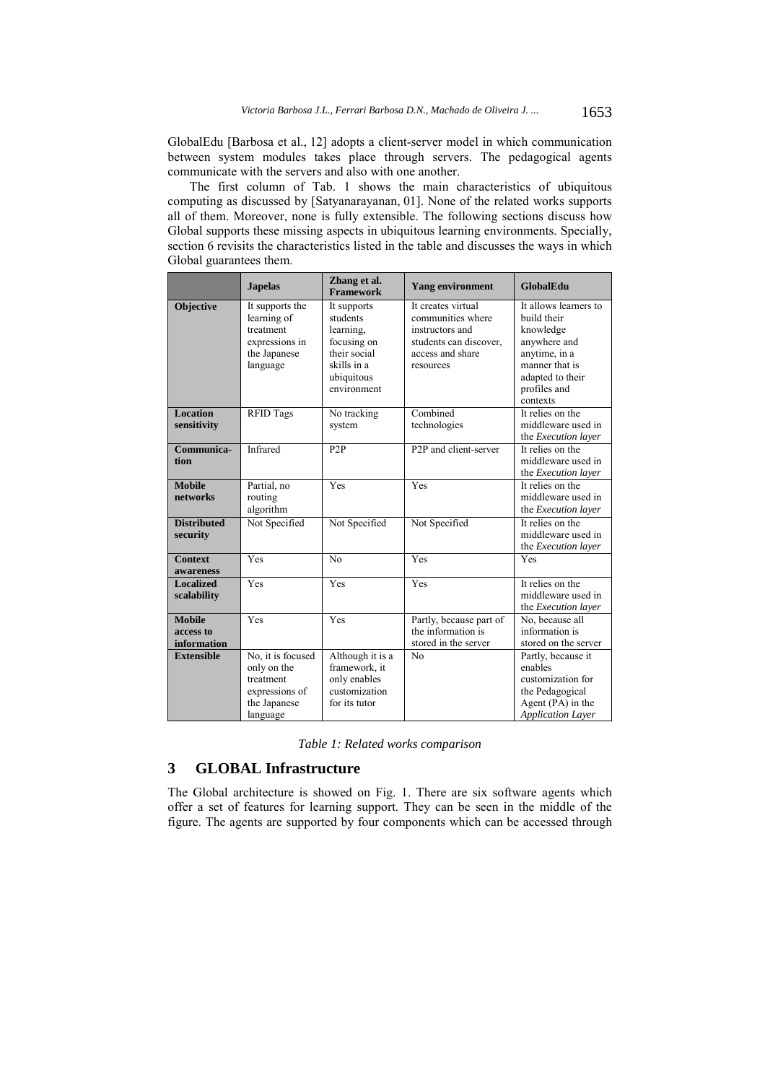GlobalEdu [Barbosa et al., 12] adopts a client-server model in which communication between system modules takes place through servers. The pedagogical agents communicate with the servers and also with one another.

The first column of Tab. 1 shows the main characteristics of ubiquitous computing as discussed by [Satyanarayanan, 01]. None of the related works supports all of them. Moreover, none is fully extensible. The following sections discuss how Global supports these missing aspects in ubiquitous learning environments. Specially, section 6 revisits the characteristics listed in the table and discusses the ways in which Global guarantees them.

|                                           | <b>Japelas</b>                                                                              | Zhang et al.<br><b>Framework</b>                                                                                | <b>Yang environment</b>                                                                                               | GlobalEdu                                                                                                                                            |
|-------------------------------------------|---------------------------------------------------------------------------------------------|-----------------------------------------------------------------------------------------------------------------|-----------------------------------------------------------------------------------------------------------------------|------------------------------------------------------------------------------------------------------------------------------------------------------|
| <b>Objective</b>                          | It supports the<br>learning of<br>treatment<br>expressions in<br>the Japanese<br>language   | It supports<br>students<br>learning.<br>focusing on<br>their social<br>skills in a<br>ubiquitous<br>environment | It creates virtual<br>communities where<br>instructors and<br>students can discover,<br>access and share<br>resources | It allows learners to<br>build their<br>knowledge<br>anywhere and<br>anytime, in a<br>manner that is<br>adapted to their<br>profiles and<br>contexts |
| <b>Location</b><br>sensitivity            | <b>RFID Tags</b>                                                                            | No tracking<br>system                                                                                           | Combined<br>technologies                                                                                              | It relies on the<br>middleware used in<br>the Execution layer                                                                                        |
| Communica-<br>tion                        | Infrared                                                                                    | P <sub>2</sub> P                                                                                                | P2P and client-server                                                                                                 | It relies on the<br>middleware used in<br>the Execution layer                                                                                        |
| <b>Mobile</b><br>networks                 | Partial, no<br>routing<br>algorithm                                                         | Yes                                                                                                             | Yes                                                                                                                   | It relies on the<br>middleware used in<br>the Execution layer                                                                                        |
| <b>Distributed</b><br>security            | Not Specified                                                                               | Not Specified                                                                                                   | Not Specified                                                                                                         | It relies on the<br>middleware used in<br>the <i>Execution</i> layer                                                                                 |
| <b>Context</b><br>awareness               | Yes                                                                                         | No                                                                                                              | Yes                                                                                                                   | Yes                                                                                                                                                  |
| <b>Localized</b><br>scalability           | Yes                                                                                         | Yes                                                                                                             | Yes                                                                                                                   | It relies on the<br>middleware used in<br>the Execution layer                                                                                        |
| <b>Mobile</b><br>access to<br>information | Yes                                                                                         | Yes                                                                                                             | Partly, because part of<br>the information is<br>stored in the server                                                 | No, because all<br>information is<br>stored on the server                                                                                            |
| <b>Extensible</b>                         | No, it is focused<br>only on the<br>treatment<br>expressions of<br>the Japanese<br>language | Although it is a<br>framework, it<br>only enables<br>customization<br>for its tutor                             | N <sub>0</sub>                                                                                                        | Partly, because it<br>enables<br>customization for<br>the Pedagogical<br>Agent (PA) in the<br><b>Application Layer</b>                               |

|  |  | Table 1: Related works comparison |
|--|--|-----------------------------------|
|  |  |                                   |

# **3 GLOBAL Infrastructure**

The Global architecture is showed on Fig. 1. There are six software agents which offer a set of features for learning support. They can be seen in the middle of the figure. The agents are supported by four components which can be accessed through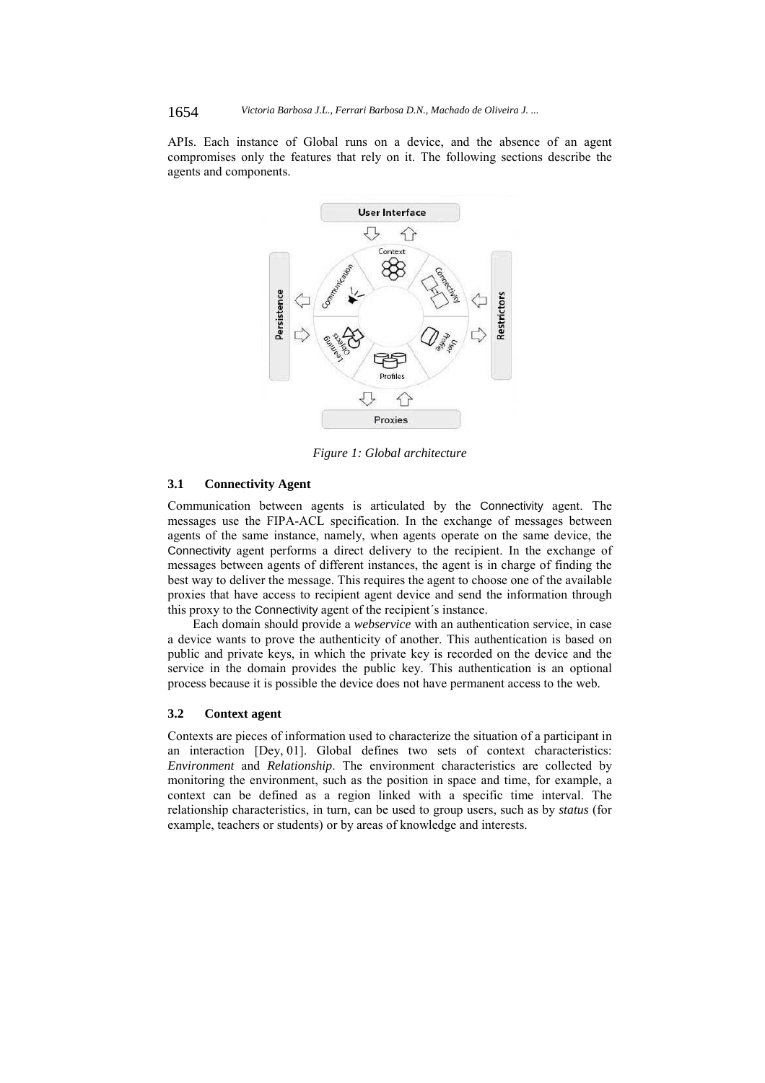APIs. Each instance of Global runs on a device, and the absence of an agent compromises only the features that rely on it. The following sections describe the agents and components.



*Figure 1: Global architecture* 

# **3.1 Connectivity Agent**

Communication between agents is articulated by the Connectivity agent. The messages use the FIPA-ACL specification. In the exchange of messages between agents of the same instance, namely, when agents operate on the same device, the Connectivity agent performs a direct delivery to the recipient. In the exchange of messages between agents of different instances, the agent is in charge of finding the best way to deliver the message. This requires the agent to choose one of the available proxies that have access to recipient agent device and send the information through this proxy to the Connectivity agent of the recipient´s instance.

 Each domain should provide a *webservice* with an authentication service, in case a device wants to prove the authenticity of another. This authentication is based on public and private keys, in which the private key is recorded on the device and the service in the domain provides the public key. This authentication is an optional process because it is possible the device does not have permanent access to the web*.*

#### **3.2 Context agent**

Contexts are pieces of information used to characterize the situation of a participant in an interaction [Dey, 01]. Global defines two sets of context characteristics: *Environment* and *Relationship*. The environment characteristics are collected by monitoring the environment, such as the position in space and time, for example, a context can be defined as a region linked with a specific time interval. The relationship characteristics, in turn, can be used to group users, such as by *status* (for example, teachers or students) or by areas of knowledge and interests.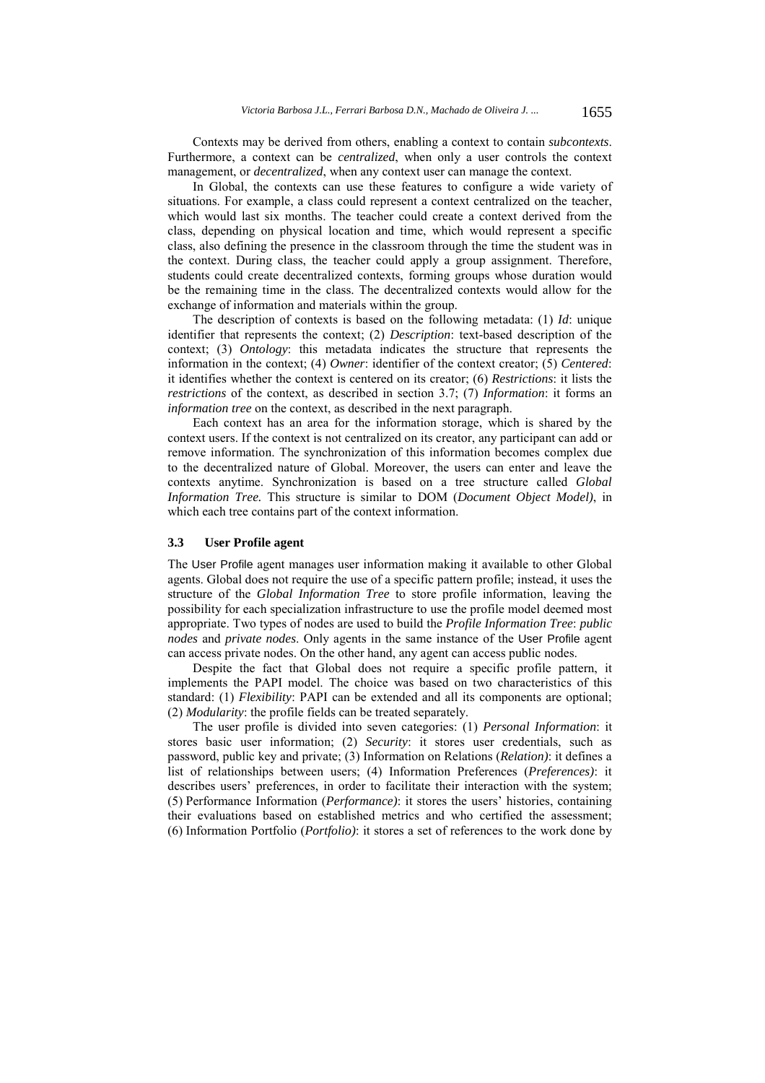Contexts may be derived from others, enabling a context to contain *subcontexts*. Furthermore, a context can be *centralized*, when only a user controls the context management, or *decentralized*, when any context user can manage the context.

 In Global, the contexts can use these features to configure a wide variety of situations. For example, a class could represent a context centralized on the teacher, which would last six months. The teacher could create a context derived from the class, depending on physical location and time, which would represent a specific class, also defining the presence in the classroom through the time the student was in the context. During class, the teacher could apply a group assignment. Therefore, students could create decentralized contexts, forming groups whose duration would be the remaining time in the class. The decentralized contexts would allow for the exchange of information and materials within the group.

 The description of contexts is based on the following metadata: (1) *Id*: unique identifier that represents the context; (2) *Description*: text-based description of the context; (3) *Ontology*: this metadata indicates the structure that represents the information in the context; (4) *Owner*: identifier of the context creator; (5) *Centered*: it identifies whether the context is centered on its creator; (6) *Restrictions*: it lists the *restrictions* of the context, as described in section 3.7; (7) *Information*: it forms an *information tree* on the context, as described in the next paragraph.

 Each context has an area for the information storage, which is shared by the context users. If the context is not centralized on its creator, any participant can add or remove information. The synchronization of this information becomes complex due to the decentralized nature of Global. Moreover, the users can enter and leave the contexts anytime. Synchronization is based on a tree structure called *Global Information Tree.* This structure is similar to DOM (*Document Object Model)*, in which each tree contains part of the context information.

# **3.3 User Profile agent**

The User Profile agent manages user information making it available to other Global agents. Global does not require the use of a specific pattern profile; instead, it uses the structure of the *Global Information Tree* to store profile information, leaving the possibility for each specialization infrastructure to use the profile model deemed most appropriate. Two types of nodes are used to build the *Profile Information Tree*: *public nodes* and *private nodes*. Only agents in the same instance of the User Profile agent can access private nodes. On the other hand, any agent can access public nodes.

 Despite the fact that Global does not require a specific profile pattern, it implements the PAPI model. The choice was based on two characteristics of this standard: (1) *Flexibility*: PAPI can be extended and all its components are optional; (2) *Modularity*: the profile fields can be treated separately.

 The user profile is divided into seven categories: (1) *Personal Information*: it stores basic user information; (2) *Security*: it stores user credentials, such as password, public key and private; (3) Information on Relations (*Relation)*: it defines a list of relationships between users; (4) Information Preferences (*Preferences)*: it describes users' preferences, in order to facilitate their interaction with the system; (5) Performance Information (*Performance)*: it stores the users' histories, containing their evaluations based on established metrics and who certified the assessment; (6) Information Portfolio (*Portfolio)*: it stores a set of references to the work done by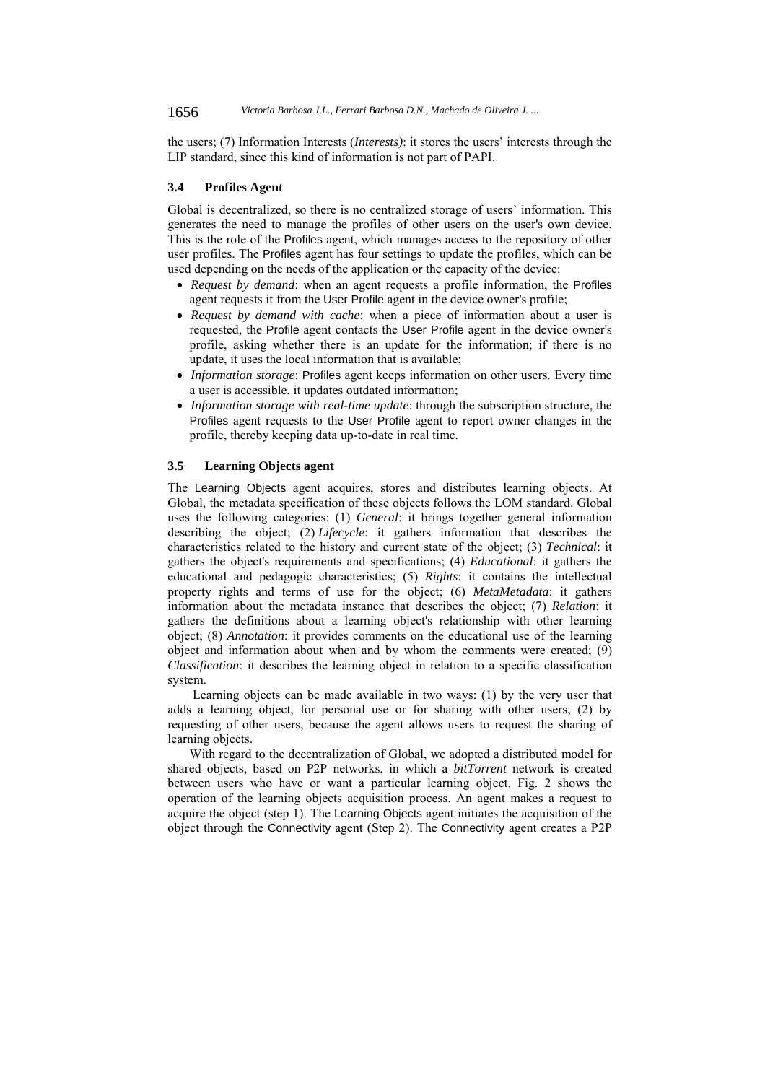the users; (7) Information Interests (*Interests)*: it stores the users' interests through the LIP standard, since this kind of information is not part of PAPI.

#### **3.4 Profiles Agent**

Global is decentralized, so there is no centralized storage of users' information. This generates the need to manage the profiles of other users on the user's own device. This is the role of the Profiles agent, which manages access to the repository of other user profiles. The Profiles agent has four settings to update the profiles, which can be used depending on the needs of the application or the capacity of the device:

- *Request by demand*: when an agent requests a profile information, the Profiles agent requests it from the User Profile agent in the device owner's profile;
- *Request by demand with cache*: when a piece of information about a user is requested, the Profile agent contacts the User Profile agent in the device owner's profile, asking whether there is an update for the information; if there is no update, it uses the local information that is available;
- *Information storage*: Profiles agent keeps information on other users. Every time a user is accessible, it updates outdated information;
- *Information storage with real-time update*: through the subscription structure, the Profiles agent requests to the User Profile agent to report owner changes in the profile, thereby keeping data up-to-date in real time.

#### **3.5 Learning Objects agent**

The Learning Objects agent acquires, stores and distributes learning objects. At Global, the metadata specification of these objects follows the LOM standard. Global uses the following categories: (1) *General*: it brings together general information describing the object; (2) *Lifecycle*: it gathers information that describes the characteristics related to the history and current state of the object; (3) *Technical*: it gathers the object's requirements and specifications; (4) *Educational*: it gathers the educational and pedagogic characteristics; (5) *Rights*: it contains the intellectual property rights and terms of use for the object; (6) *MetaMetadata*: it gathers information about the metadata instance that describes the object; (7) *Relation*: it gathers the definitions about a learning object's relationship with other learning object; (8) *Annotation*: it provides comments on the educational use of the learning object and information about when and by whom the comments were created; (9) *Classification*: it describes the learning object in relation to a specific classification system.

 Learning objects can be made available in two ways: (1) by the very user that adds a learning object, for personal use or for sharing with other users; (2) by requesting of other users, because the agent allows users to request the sharing of learning objects.

With regard to the decentralization of Global, we adopted a distributed model for shared objects, based on P2P networks, in which a *bitTorrent* network is created between users who have or want a particular learning object. Fig. 2 shows the operation of the learning objects acquisition process. An agent makes a request to acquire the object (step 1). The Learning Objects agent initiates the acquisition of the object through the Connectivity agent (Step 2). The Connectivity agent creates a P2P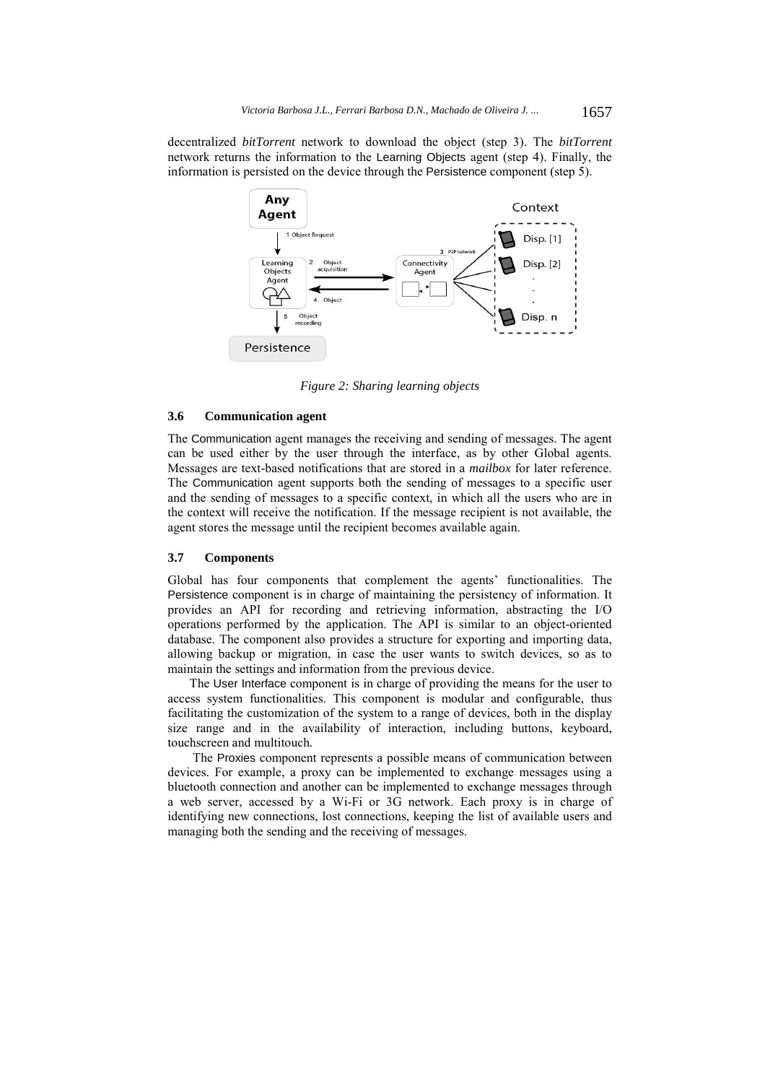decentralized *bitTorrent* network to download the object (step 3). The *bitTorrent*  network returns the information to the Learning Objects agent (step 4). Finally, the information is persisted on the device through the Persistence component (step 5).



*Figure 2: Sharing learning objects* 

# **3.6 Communication agent**

The Communication agent manages the receiving and sending of messages. The agent can be used either by the user through the interface, as by other Global agents. Messages are text-based notifications that are stored in a *mailbox* for later reference. The Communication agent supports both the sending of messages to a specific user and the sending of messages to a specific context, in which all the users who are in the context will receive the notification. If the message recipient is not available, the agent stores the message until the recipient becomes available again.

#### **3.7 Components**

Global has four components that complement the agents' functionalities. The Persistence component is in charge of maintaining the persistency of information. It provides an API for recording and retrieving information, abstracting the I/O operations performed by the application. The API is similar to an object-oriented database. The component also provides a structure for exporting and importing data, allowing backup or migration, in case the user wants to switch devices, so as to maintain the settings and information from the previous device.

The User Interface component is in charge of providing the means for the user to access system functionalities. This component is modular and configurable, thus facilitating the customization of the system to a range of devices, both in the display size range and in the availability of interaction, including buttons, keyboard, touchscreen and multitouch*.*

 The Proxies component represents a possible means of communication between devices. For example, a proxy can be implemented to exchange messages using a bluetooth connection and another can be implemented to exchange messages through a web server, accessed by a Wi-Fi or 3G network. Each proxy is in charge of identifying new connections, lost connections, keeping the list of available users and managing both the sending and the receiving of messages.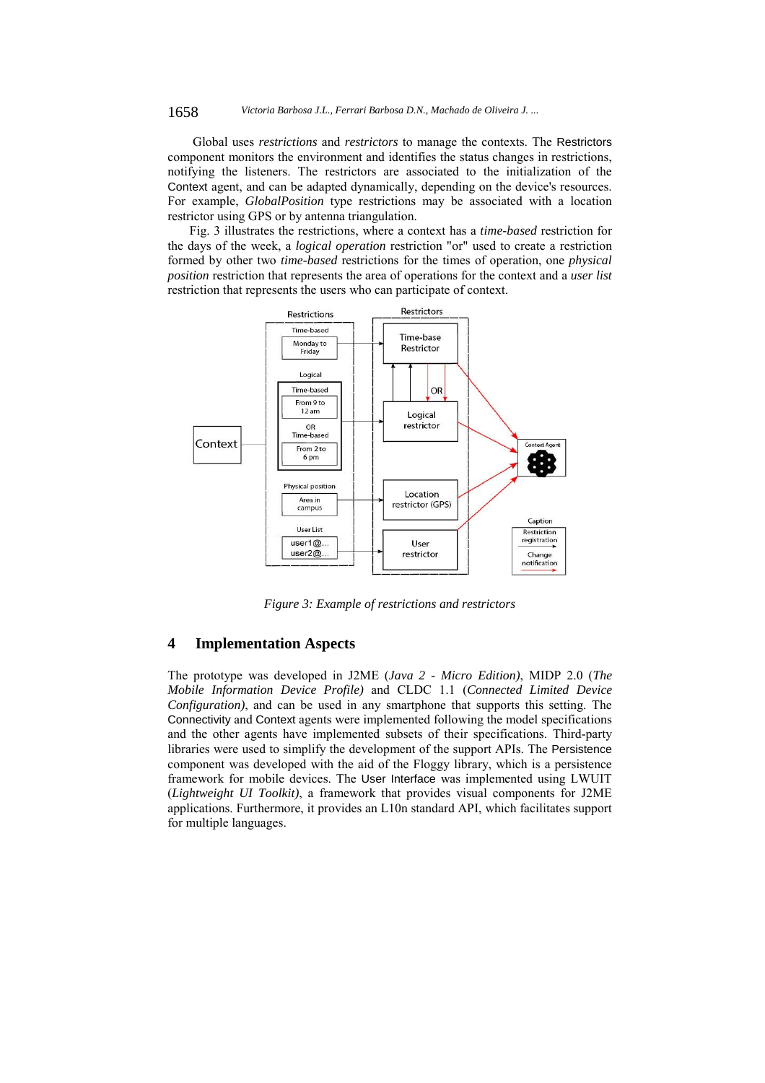1658 *Victoria Barbosa J.L., Ferrari Barbosa D.N., Machado de Oliveira J. ...*

 Global uses *restrictions* and *restrictors* to manage the contexts. The Restrictors component monitors the environment and identifies the status changes in restrictions, notifying the listeners. The restrictors are associated to the initialization of the Context agent, and can be adapted dynamically, depending on the device's resources. For example, *GlobalPosition* type restrictions may be associated with a location restrictor using GPS or by antenna triangulation.

Fig. 3 illustrates the restrictions, where a context has a *time-based* restriction for the days of the week, a *logical operation* restriction "or" used to create a restriction formed by other two *time-based* restrictions for the times of operation, one *physical position* restriction that represents the area of operations for the context and a *user list* restriction that represents the users who can participate of context.



*Figure 3: Example of restrictions and restrictors* 

# **4 Implementation Aspects**

The prototype was developed in J2ME (*Java 2 - Micro Edition)*, MIDP 2.0 (*The Mobile Information Device Profile)* and CLDC 1.1 (*Connected Limited Device Configuration)*, and can be used in any smartphone that supports this setting. The Connectivity and Context agents were implemented following the model specifications and the other agents have implemented subsets of their specifications. Third-party libraries were used to simplify the development of the support APIs. The Persistence component was developed with the aid of the Floggy library, which is a persistence framework for mobile devices. The User Interface was implemented using LWUIT (*Lightweight UI Toolkit)*, a framework that provides visual components for J2ME applications. Furthermore, it provides an L10n standard API, which facilitates support for multiple languages.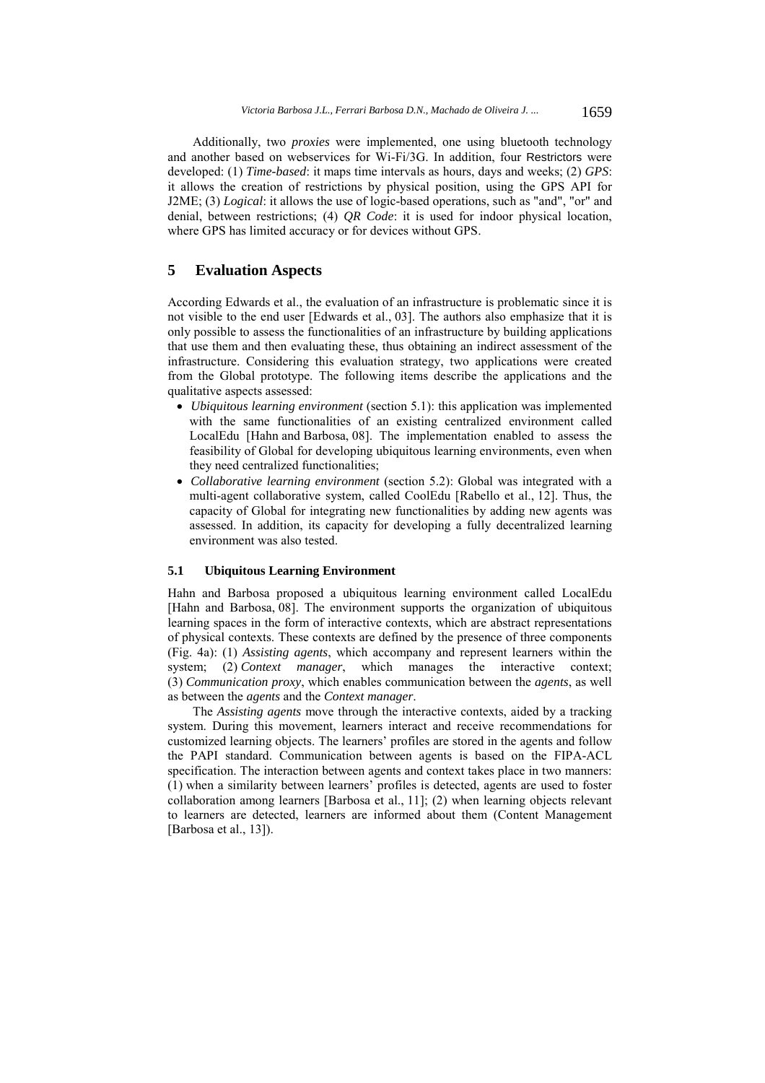Additionally, two *proxies* were implemented, one using bluetooth technology and another based on webservices for Wi-Fi/3G. In addition, four Restrictors were developed: (1) *Time-based*: it maps time intervals as hours, days and weeks; (2) *GPS*: it allows the creation of restrictions by physical position, using the GPS API for J2ME; (3) *Logical*: it allows the use of logic-based operations, such as "and", "or" and denial, between restrictions; (4) *QR Code*: it is used for indoor physical location, where GPS has limited accuracy or for devices without GPS.

# **5 Evaluation Aspects**

According Edwards et al., the evaluation of an infrastructure is problematic since it is not visible to the end user [Edwards et al., 03]. The authors also emphasize that it is only possible to assess the functionalities of an infrastructure by building applications that use them and then evaluating these, thus obtaining an indirect assessment of the infrastructure. Considering this evaluation strategy, two applications were created from the Global prototype. The following items describe the applications and the qualitative aspects assessed:

- *Ubiquitous learning environment* (section 5.1): this application was implemented with the same functionalities of an existing centralized environment called LocalEdu [Hahn and Barbosa, 08]. The implementation enabled to assess the feasibility of Global for developing ubiquitous learning environments, even when they need centralized functionalities;
- *Collaborative learning environment* (section 5.2): Global was integrated with a multi-agent collaborative system, called CoolEdu [Rabello et al., 12]. Thus, the capacity of Global for integrating new functionalities by adding new agents was assessed. In addition, its capacity for developing a fully decentralized learning environment was also tested.

# **5.1 Ubiquitous Learning Environment**

Hahn and Barbosa proposed a ubiquitous learning environment called LocalEdu [Hahn and Barbosa, 08]. The environment supports the organization of ubiquitous learning spaces in the form of interactive contexts, which are abstract representations of physical contexts. These contexts are defined by the presence of three components (Fig. 4a): (1) *Assisting agents*, which accompany and represent learners within the system; (2) *Context manager*, which manages the interactive context; (3) *Communication proxy*, which enables communication between the *agents*, as well as between the *agents* and the *Context manager*.

 The *Assisting agents* move through the interactive contexts, aided by a tracking system. During this movement, learners interact and receive recommendations for customized learning objects. The learners' profiles are stored in the agents and follow the PAPI standard. Communication between agents is based on the FIPA-ACL specification. The interaction between agents and context takes place in two manners: (1) when a similarity between learners' profiles is detected, agents are used to foster collaboration among learners [Barbosa et al., 11]; (2) when learning objects relevant to learners are detected, learners are informed about them (Content Management [Barbosa et al., 13]).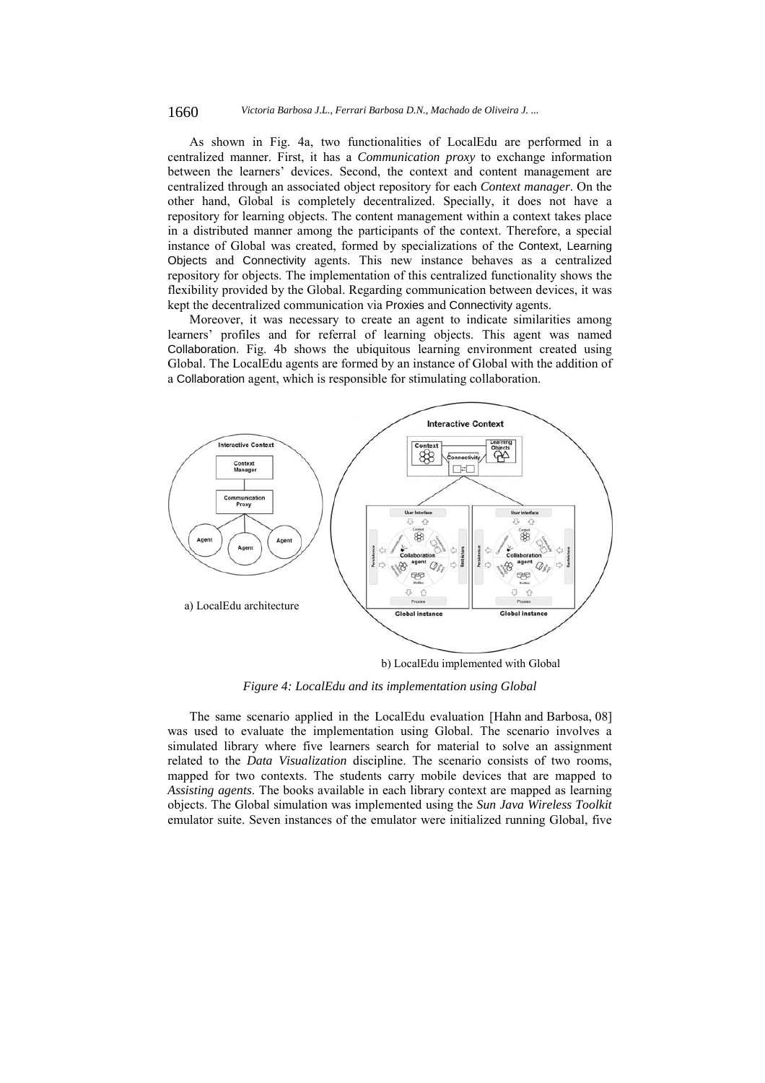#### 1660 *Victoria Barbosa J.L., Ferrari Barbosa D.N., Machado de Oliveira J. ...*

As shown in Fig. 4a, two functionalities of LocalEdu are performed in a centralized manner. First, it has a *Communication proxy* to exchange information between the learners' devices. Second, the context and content management are centralized through an associated object repository for each *Context manager*. On the other hand, Global is completely decentralized. Specially, it does not have a repository for learning objects. The content management within a context takes place in a distributed manner among the participants of the context. Therefore, a special instance of Global was created, formed by specializations of the Context, Learning Objects and Connectivity agents. This new instance behaves as a centralized repository for objects. The implementation of this centralized functionality shows the flexibility provided by the Global. Regarding communication between devices, it was kept the decentralized communication via Proxies and Connectivity agents.

Moreover, it was necessary to create an agent to indicate similarities among learners' profiles and for referral of learning objects. This agent was named Collaboration. Fig. 4b shows the ubiquitous learning environment created using Global. The LocalEdu agents are formed by an instance of Global with the addition of a Collaboration agent, which is responsible for stimulating collaboration.



b) LocalEdu implemented with Global

*Figure 4: LocalEdu and its implementation using Global* 

The same scenario applied in the LocalEdu evaluation [Hahn and Barbosa, 08] was used to evaluate the implementation using Global. The scenario involves a simulated library where five learners search for material to solve an assignment related to the *Data Visualization* discipline. The scenario consists of two rooms, mapped for two contexts. The students carry mobile devices that are mapped to *Assisting agents*. The books available in each library context are mapped as learning objects. The Global simulation was implemented using the *Sun Java Wireless Toolkit*  emulator suite. Seven instances of the emulator were initialized running Global, five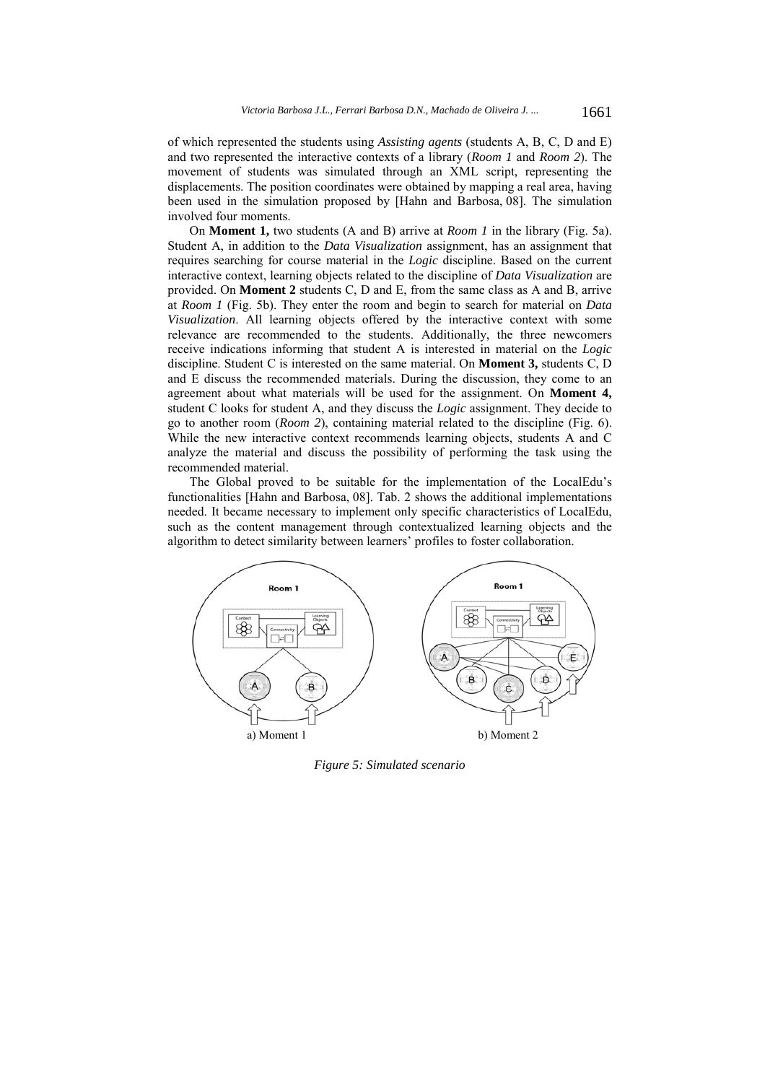of which represented the students using *Assisting agents* (students A, B, C, D and E) and two represented the interactive contexts of a library (*Room 1* and *Room 2*). The movement of students was simulated through an XML script*,* representing the displacements. The position coordinates were obtained by mapping a real area, having been used in the simulation proposed by [Hahn and Barbosa, 08]. The simulation involved four moments.

On **Moment 1,** two students (A and B) arrive at *Room 1* in the library (Fig. 5a). Student A, in addition to the *Data Visualization* assignment, has an assignment that requires searching for course material in the *Logic* discipline. Based on the current interactive context, learning objects related to the discipline of *Data Visualization* are provided. On **Moment 2** students C, D and E, from the same class as A and B, arrive at *Room 1* (Fig. 5b). They enter the room and begin to search for material on *Data Visualization*. All learning objects offered by the interactive context with some relevance are recommended to the students. Additionally, the three newcomers receive indications informing that student A is interested in material on the *Logic* discipline. Student C is interested on the same material. On **Moment 3,** students C, D and E discuss the recommended materials. During the discussion, they come to an agreement about what materials will be used for the assignment. On **Moment 4,** student C looks for student A, and they discuss the *Logic* assignment. They decide to go to another room (*Room 2*), containing material related to the discipline (Fig. 6). While the new interactive context recommends learning objects, students A and C analyze the material and discuss the possibility of performing the task using the recommended material.

The Global proved to be suitable for the implementation of the LocalEdu's functionalities [Hahn and Barbosa, 08]. Tab. 2 shows the additional implementations needed. It became necessary to implement only specific characteristics of LocalEdu, such as the content management through contextualized learning objects and the algorithm to detect similarity between learners' profiles to foster collaboration.



*Figure 5: Simulated scenario*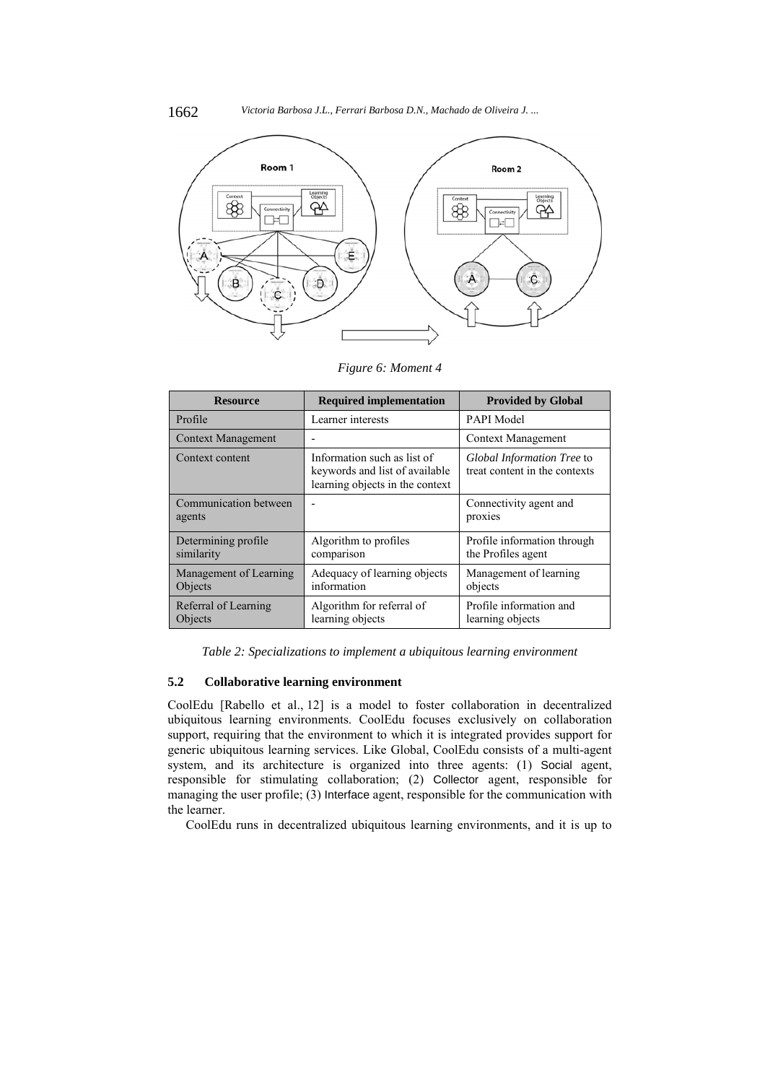

*Figure 6: Moment 4* 

| <b>Resource</b>                   | <b>Required implementation</b>                                                                   | <b>Provided by Global</b>                                   |
|-----------------------------------|--------------------------------------------------------------------------------------------------|-------------------------------------------------------------|
| Profile                           | Learner interests                                                                                | PAPI Model                                                  |
| <b>Context Management</b>         | $\overline{\phantom{0}}$                                                                         | <b>Context Management</b>                                   |
| Context content                   | Information such as list of<br>keywords and list of available<br>learning objects in the context | Global Information Tree to<br>treat content in the contexts |
| Communication between<br>agents   | $\overline{\phantom{0}}$                                                                         | Connectivity agent and<br>proxies                           |
| Determining profile<br>similarity | Algorithm to profiles<br>comparison                                                              | Profile information through<br>the Profiles agent           |
| Management of Learning<br>Objects | Adequacy of learning objects<br>information                                                      | Management of learning<br>objects                           |
| Referral of Learning<br>Objects   | Algorithm for referral of<br>learning objects                                                    | Profile information and<br>learning objects                 |

*Table 2: Specializations to implement a ubiquitous learning environment* 

## **5.2 Collaborative learning environment**

CoolEdu [Rabello et al., 12] is a model to foster collaboration in decentralized ubiquitous learning environments. CoolEdu focuses exclusively on collaboration support, requiring that the environment to which it is integrated provides support for generic ubiquitous learning services. Like Global, CoolEdu consists of a multi-agent system, and its architecture is organized into three agents: (1) Social agent, responsible for stimulating collaboration; (2) Collector agent, responsible for managing the user profile; (3) Interface agent, responsible for the communication with the learner.

CoolEdu runs in decentralized ubiquitous learning environments, and it is up to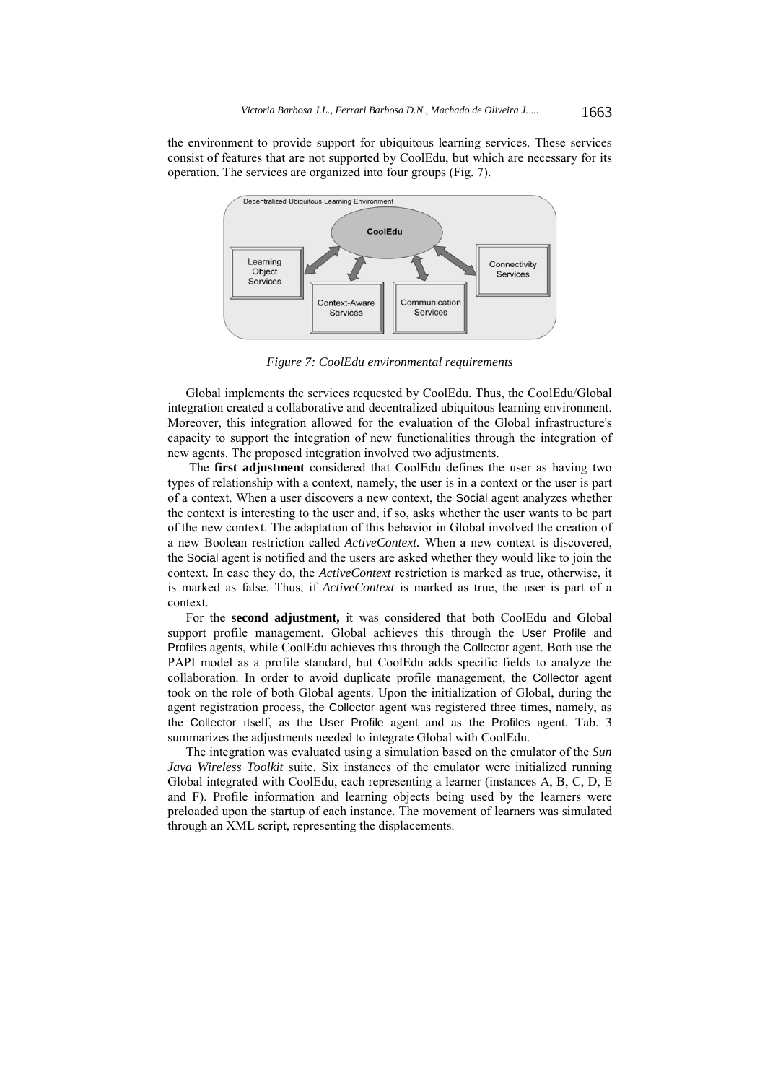the environment to provide support for ubiquitous learning services. These services consist of features that are not supported by CoolEdu, but which are necessary for its operation. The services are organized into four groups (Fig. 7).



*Figure 7: CoolEdu environmental requirements* 

Global implements the services requested by CoolEdu. Thus, the CoolEdu/Global integration created a collaborative and decentralized ubiquitous learning environment. Moreover, this integration allowed for the evaluation of the Global infrastructure's capacity to support the integration of new functionalities through the integration of new agents. The proposed integration involved two adjustments.

 The **first adjustment** considered that CoolEdu defines the user as having two types of relationship with a context, namely, the user is in a context or the user is part of a context. When a user discovers a new context, the Social agent analyzes whether the context is interesting to the user and, if so, asks whether the user wants to be part of the new context. The adaptation of this behavior in Global involved the creation of a new Boolean restriction called *ActiveContext.* When a new context is discovered, the Social agent is notified and the users are asked whether they would like to join the context. In case they do, the *ActiveContext* restriction is marked as true, otherwise, it is marked as false. Thus, if *ActiveContext* is marked as true, the user is part of a context.

For the **second adjustment,** it was considered that both CoolEdu and Global support profile management. Global achieves this through the User Profile and Profiles agents, while CoolEdu achieves this through the Collector agent. Both use the PAPI model as a profile standard, but CoolEdu adds specific fields to analyze the collaboration. In order to avoid duplicate profile management, the Collector agent took on the role of both Global agents. Upon the initialization of Global, during the agent registration process, the Collector agent was registered three times, namely, as the Collector itself, as the User Profile agent and as the Profiles agent. Tab. 3 summarizes the adjustments needed to integrate Global with CoolEdu.

The integration was evaluated using a simulation based on the emulator of the *Sun Java Wireless Toolkit* suite. Six instances of the emulator were initialized running Global integrated with CoolEdu, each representing a learner (instances A, B, C, D, E and F). Profile information and learning objects being used by the learners were preloaded upon the startup of each instance. The movement of learners was simulated through an XML script*,* representing the displacements.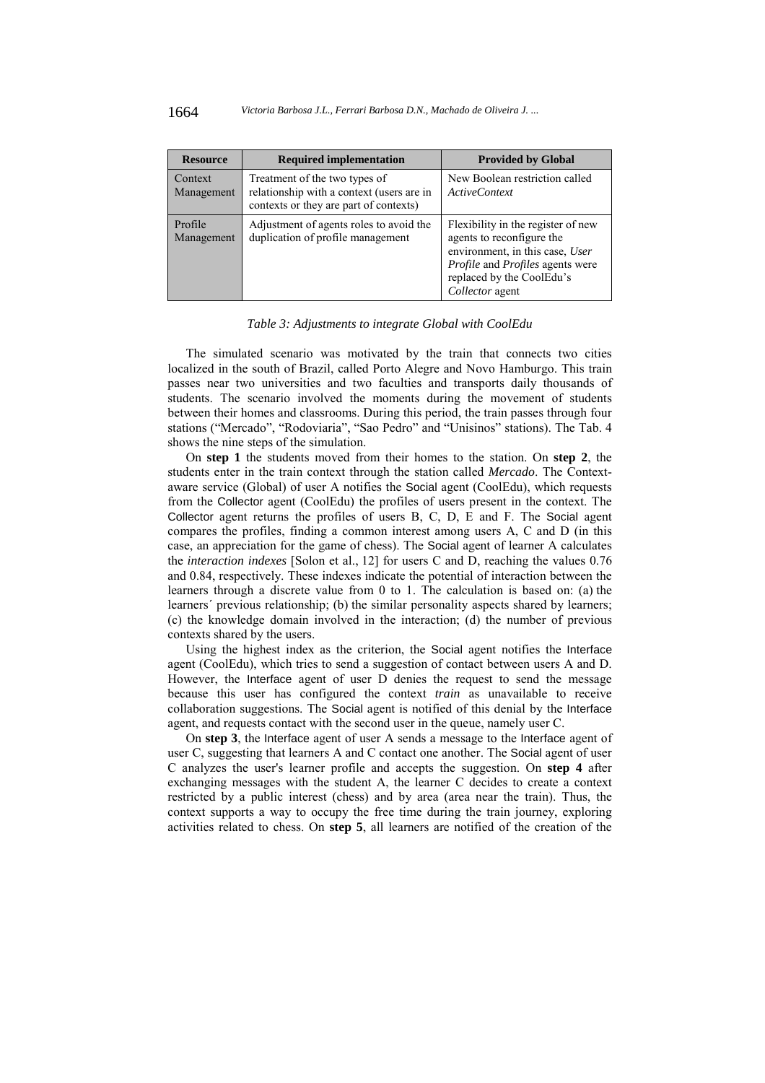| <b>Resource</b>       | <b>Required implementation</b>                                                                                       | <b>Provided by Global</b>                                                                                                                                                              |
|-----------------------|----------------------------------------------------------------------------------------------------------------------|----------------------------------------------------------------------------------------------------------------------------------------------------------------------------------------|
| Context<br>Management | Treatment of the two types of<br>relationship with a context (users are in<br>contexts or they are part of contexts) | New Boolean restriction called<br><i>ActiveContext</i>                                                                                                                                 |
| Profile<br>Management | Adjustment of agents roles to avoid the<br>duplication of profile management                                         | Flexibility in the register of new<br>agents to reconfigure the<br>environment, in this case, User<br>Profile and Profiles agents were<br>replaced by the CoolEdu's<br>Collector agent |

#### *Table 3: Adjustments to integrate Global with CoolEdu*

The simulated scenario was motivated by the train that connects two cities localized in the south of Brazil, called Porto Alegre and Novo Hamburgo. This train passes near two universities and two faculties and transports daily thousands of students. The scenario involved the moments during the movement of students between their homes and classrooms. During this period, the train passes through four stations ("Mercado", "Rodoviaria", "Sao Pedro" and "Unisinos" stations). The Tab. 4 shows the nine steps of the simulation.

On **step 1** the students moved from their homes to the station. On **step 2**, the students enter in the train context through the station called *Mercado*. The Contextaware service (Global) of user A notifies the Social agent (CoolEdu), which requests from the Collector agent (CoolEdu) the profiles of users present in the context. The Collector agent returns the profiles of users B, C, D, E and F. The Social agent compares the profiles, finding a common interest among users A, C and D (in this case, an appreciation for the game of chess). The Social agent of learner A calculates the *interaction indexes* [Solon et al., 12] for users C and D, reaching the values 0.76 and 0.84, respectively. These indexes indicate the potential of interaction between the learners through a discrete value from 0 to 1. The calculation is based on: (a) the learners' previous relationship; (b) the similar personality aspects shared by learners; (c) the knowledge domain involved in the interaction; (d) the number of previous contexts shared by the users.

Using the highest index as the criterion, the Social agent notifies the Interface agent (CoolEdu), which tries to send a suggestion of contact between users A and D. However, the Interface agent of user D denies the request to send the message because this user has configured the context *train* as unavailable to receive collaboration suggestions. The Social agent is notified of this denial by the Interface agent, and requests contact with the second user in the queue, namely user C.

On **step 3**, the Interface agent of user A sends a message to the Interface agent of user C, suggesting that learners A and C contact one another. The Social agent of user C analyzes the user's learner profile and accepts the suggestion. On **step 4** after exchanging messages with the student A, the learner C decides to create a context restricted by a public interest (chess) and by area (area near the train). Thus, the context supports a way to occupy the free time during the train journey, exploring activities related to chess. On **step 5**, all learners are notified of the creation of the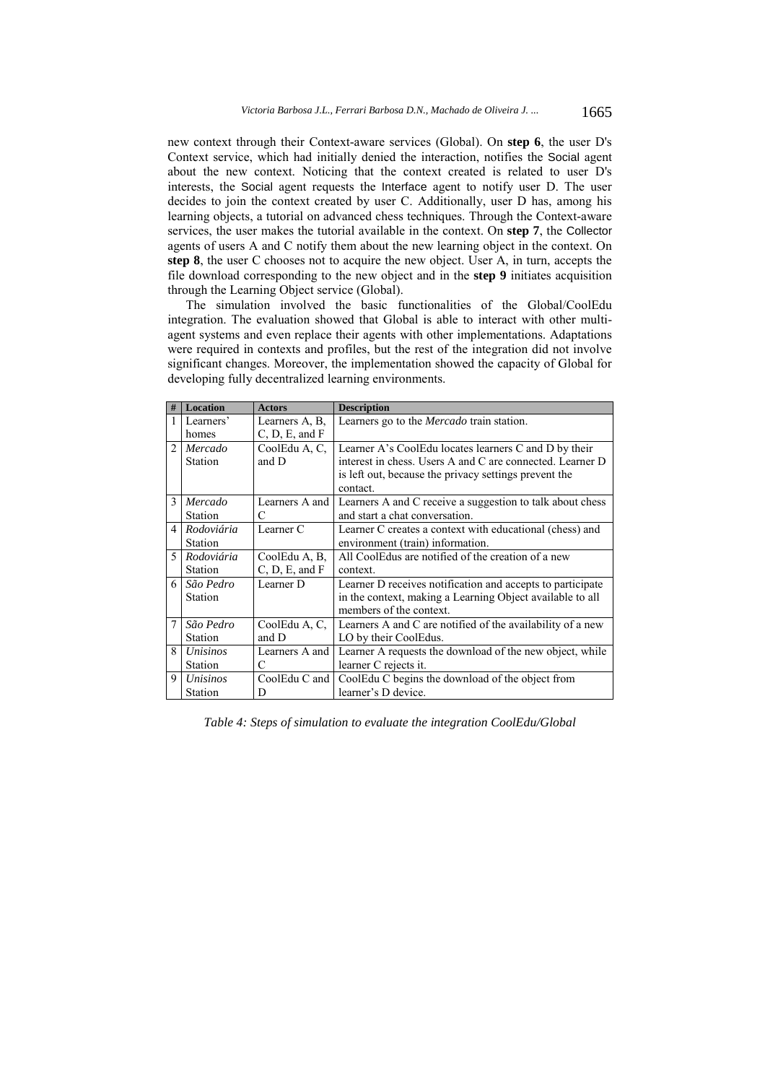new context through their Context-aware services (Global). On **step 6**, the user D's Context service, which had initially denied the interaction, notifies the Social agent about the new context. Noticing that the context created is related to user D's interests, the Social agent requests the Interface agent to notify user D. The user decides to join the context created by user C. Additionally, user D has, among his learning objects, a tutorial on advanced chess techniques. Through the Context-aware services, the user makes the tutorial available in the context. On **step 7**, the Collector agents of users A and C notify them about the new learning object in the context. On **step 8**, the user C chooses not to acquire the new object. User A, in turn, accepts the file download corresponding to the new object and in the **step 9** initiates acquisition through the Learning Object service (Global).

The simulation involved the basic functionalities of the Global/CoolEdu integration. The evaluation showed that Global is able to interact with other multiagent systems and even replace their agents with other implementations. Adaptations were required in contexts and profiles, but the rest of the integration did not involve significant changes. Moreover, the implementation showed the capacity of Global for developing fully decentralized learning environments.

| #              | <b>Location</b>    | <b>Actors</b>          | <b>Description</b>                                                                                                 |
|----------------|--------------------|------------------------|--------------------------------------------------------------------------------------------------------------------|
|                | Learners'          | Learners A, B,         | Learners go to the <i>Mercado</i> train station.                                                                   |
|                | homes              | C, D, E, and F         |                                                                                                                    |
| $\mathfrak{D}$ | Mercado<br>Station | CoolEdu A, C,<br>and D | Learner A's CoolEdu locates learners C and D by their<br>interest in chess. Users A and C are connected. Learner D |
|                |                    |                        | is left out, because the privacy settings prevent the<br>contact.                                                  |
| $\mathcal{E}$  | Mercado            | Learners A and         | Learners A and C receive a suggestion to talk about chess                                                          |
|                | Station            | C                      | and start a chat conversation.                                                                                     |
| 4              | Rodoviária         | Learner C              | Learner C creates a context with educational (chess) and                                                           |
|                | Station            |                        | environment (train) information.                                                                                   |
| 5              | Rodoviária         | CoolEdu A, B,          | All CoolEdus are notified of the creation of a new                                                                 |
|                | Station            | C, D, E, and F         | context.                                                                                                           |
| 6              | São Pedro          | Learner D              | Learner D receives notification and accepts to participate                                                         |
|                | Station            |                        | in the context, making a Learning Object available to all                                                          |
|                |                    |                        | members of the context.                                                                                            |
| $\overline{7}$ | São Pedro          | CoolEdu A, C,          | Learners A and C are notified of the availability of a new                                                         |
|                | Station            | and D                  | LO by their CoolEdus.                                                                                              |
| 8              | Unisinos           | Learners A and         | Learner A requests the download of the new object, while                                                           |
|                | Station            | C                      | learner C rejects it.                                                                                              |
| 9              | Unisinos           | CoolEdu C and          | CoolEdu C begins the download of the object from                                                                   |
|                | Station            | D                      | learner's D device.                                                                                                |

*Table 4: Steps of simulation to evaluate the integration CoolEdu/Global*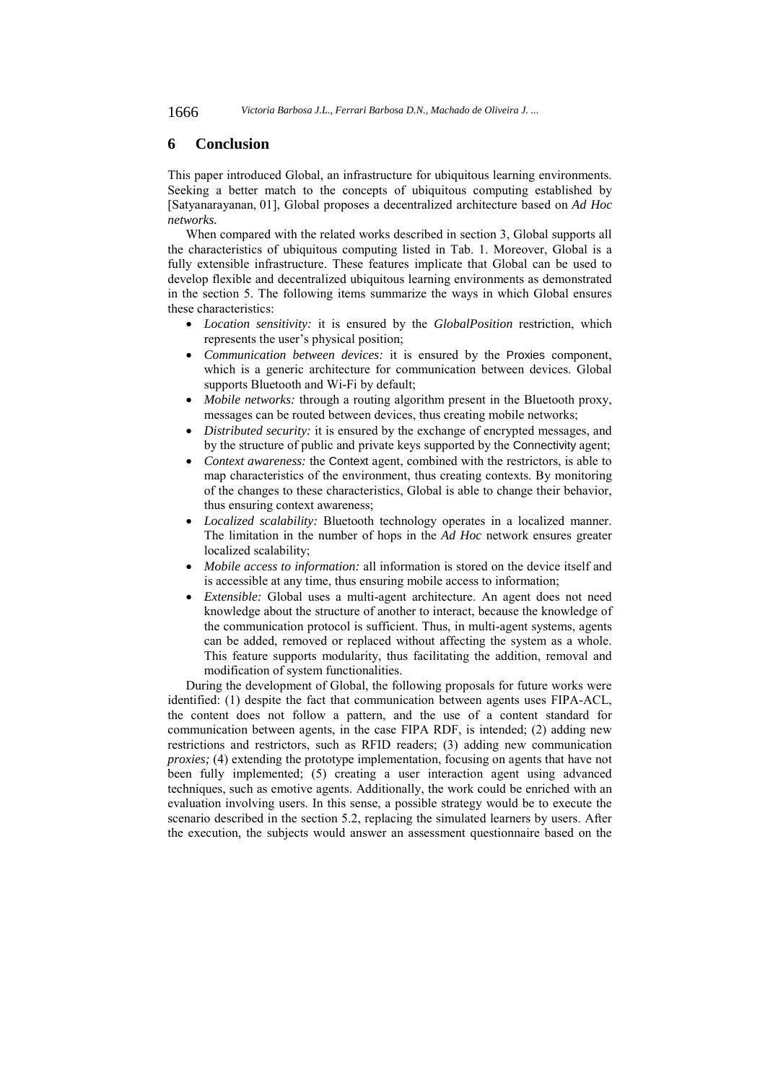1666 *Victoria Barbosa J.L., Ferrari Barbosa D.N., Machado de Oliveira J. ...*

# **6 Conclusion**

This paper introduced Global, an infrastructure for ubiquitous learning environments. Seeking a better match to the concepts of ubiquitous computing established by [Satyanarayanan, 01], Global proposes a decentralized architecture based on *Ad Hoc networks.*

When compared with the related works described in section 3, Global supports all the characteristics of ubiquitous computing listed in Tab. 1. Moreover, Global is a fully extensible infrastructure. These features implicate that Global can be used to develop flexible and decentralized ubiquitous learning environments as demonstrated in the section 5. The following items summarize the ways in which Global ensures these characteristics:

- *Location sensitivity:* it is ensured by the *GlobalPosition* restriction, which represents the user's physical position;
- *Communication between devices:* it is ensured by the Proxies component, which is a generic architecture for communication between devices. Global supports Bluetooth and Wi-Fi by default;
- *Mobile networks:* through a routing algorithm present in the Bluetooth proxy, messages can be routed between devices, thus creating mobile networks;
- *Distributed security:* it is ensured by the exchange of encrypted messages, and by the structure of public and private keys supported by the Connectivity agent;
- *Context awareness:* the Context agent, combined with the restrictors, is able to map characteristics of the environment, thus creating contexts. By monitoring of the changes to these characteristics, Global is able to change their behavior, thus ensuring context awareness;
- *Localized scalability:* Bluetooth technology operates in a localized manner. The limitation in the number of hops in the *Ad Hoc* network ensures greater localized scalability;
- *Mobile access to information:* all information is stored on the device itself and is accessible at any time, thus ensuring mobile access to information;
- *Extensible:* Global uses a multi-agent architecture. An agent does not need knowledge about the structure of another to interact, because the knowledge of the communication protocol is sufficient. Thus, in multi-agent systems, agents can be added, removed or replaced without affecting the system as a whole. This feature supports modularity, thus facilitating the addition, removal and modification of system functionalities.

During the development of Global, the following proposals for future works were identified: (1) despite the fact that communication between agents uses FIPA-ACL, the content does not follow a pattern, and the use of a content standard for communication between agents, in the case FIPA RDF, is intended; (2) adding new restrictions and restrictors, such as RFID readers; (3) adding new communication *proxies*; (4) extending the prototype implementation, focusing on agents that have not been fully implemented; (5) creating a user interaction agent using advanced techniques, such as emotive agents. Additionally, the work could be enriched with an evaluation involving users. In this sense, a possible strategy would be to execute the scenario described in the section 5.2, replacing the simulated learners by users. After the execution, the subjects would answer an assessment questionnaire based on the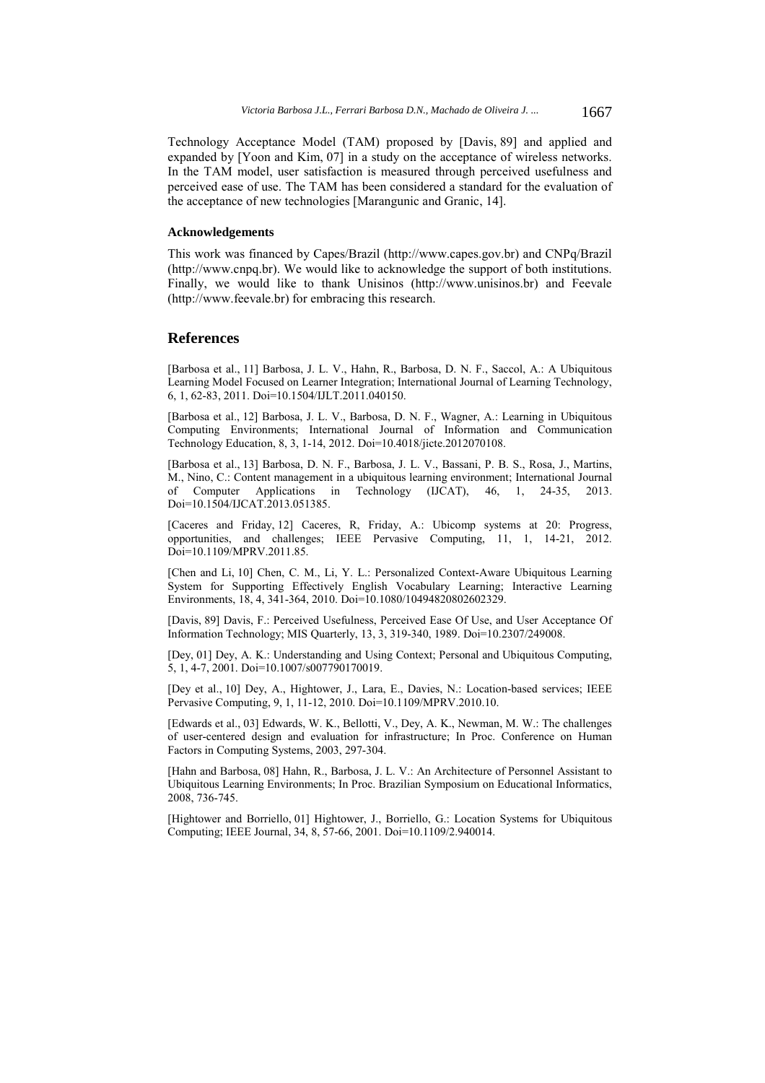Technology Acceptance Model (TAM) proposed by [Davis, 89] and applied and expanded by [Yoon and Kim, 07] in a study on the acceptance of wireless networks. In the TAM model, user satisfaction is measured through perceived usefulness and perceived ease of use. The TAM has been considered a standard for the evaluation of the acceptance of new technologies [Marangunic and Granic, 14].

### **Acknowledgements**

This work was financed by Capes/Brazil (http://www.capes.gov.br) and CNPq/Brazil (http://www.cnpq.br). We would like to acknowledge the support of both institutions. Finally, we would like to thank Unisinos (http://www.unisinos.br) and Feevale (http://www.feevale.br) for embracing this research.

### **References**

[Barbosa et al., 11] Barbosa, J. L. V., Hahn, R., Barbosa, D. N. F., Saccol, A.: A Ubiquitous Learning Model Focused on Learner Integration; International Journal of Learning Technology, 6, 1, 62-83, 2011. Doi=10.1504/IJLT.2011.040150.

[Barbosa et al., 12] Barbosa, J. L. V., Barbosa, D. N. F., Wagner, A.: Learning in Ubiquitous Computing Environments; International Journal of Information and Communication Technology Education, 8, 3, 1-14, 2012. Doi=10.4018/jicte.2012070108.

[Barbosa et al., 13] Barbosa, D. N. F., Barbosa, J. L. V., Bassani, P. B. S., Rosa, J., Martins, M., Nino, C.: Content management in a ubiquitous learning environment; International Journal of Computer Applications in Technology (IJCAT), 46, 1, 24-35, 2013. Doi=10.1504/IJCAT.2013.051385.

[Caceres and Friday, 12] Caceres, R, Friday, A.: Ubicomp systems at 20: Progress, opportunities, and challenges; IEEE Pervasive Computing, 11, 1, 14-21, 2012. Doi=10.1109/MPRV.2011.85.

[Chen and Li, 10] Chen, C. M., Li, Y. L.: Personalized Context-Aware Ubiquitous Learning System for Supporting Effectively English Vocabulary Learning; Interactive Learning Environments, 18, 4, 341-364, 2010. Doi=10.1080/10494820802602329.

[Davis, 89] Davis, F.: Perceived Usefulness, Perceived Ease Of Use, and User Acceptance Of Information Technology; MIS Quarterly, 13, 3, 319-340, 1989. Doi=10.2307/249008.

[Dey, 01] Dey, A. K.: Understanding and Using Context; Personal and Ubiquitous Computing, 5, 1, 4-7, 2001. Doi=10.1007/s007790170019.

[Dey et al., 10] Dey, A., Hightower, J., Lara, E., Davies, N.: Location-based services; IEEE Pervasive Computing, 9, 1, 11-12, 2010. Doi=10.1109/MPRV.2010.10.

[Edwards et al., 03] Edwards, W. K., Bellotti, V., Dey, A. K., Newman, M. W.: The challenges of user-centered design and evaluation for infrastructure; In Proc. Conference on Human Factors in Computing Systems, 2003, 297-304.

[Hahn and Barbosa, 08] Hahn, R., Barbosa, J. L. V.: An Architecture of Personnel Assistant to Ubiquitous Learning Environments; In Proc. Brazilian Symposium on Educational Informatics, 2008, 736-745.

[Hightower and Borriello, 01] Hightower, J., Borriello, G.: Location Systems for Ubiquitous Computing; IEEE Journal, 34, 8, 57-66, 2001. Doi=10.1109/2.940014.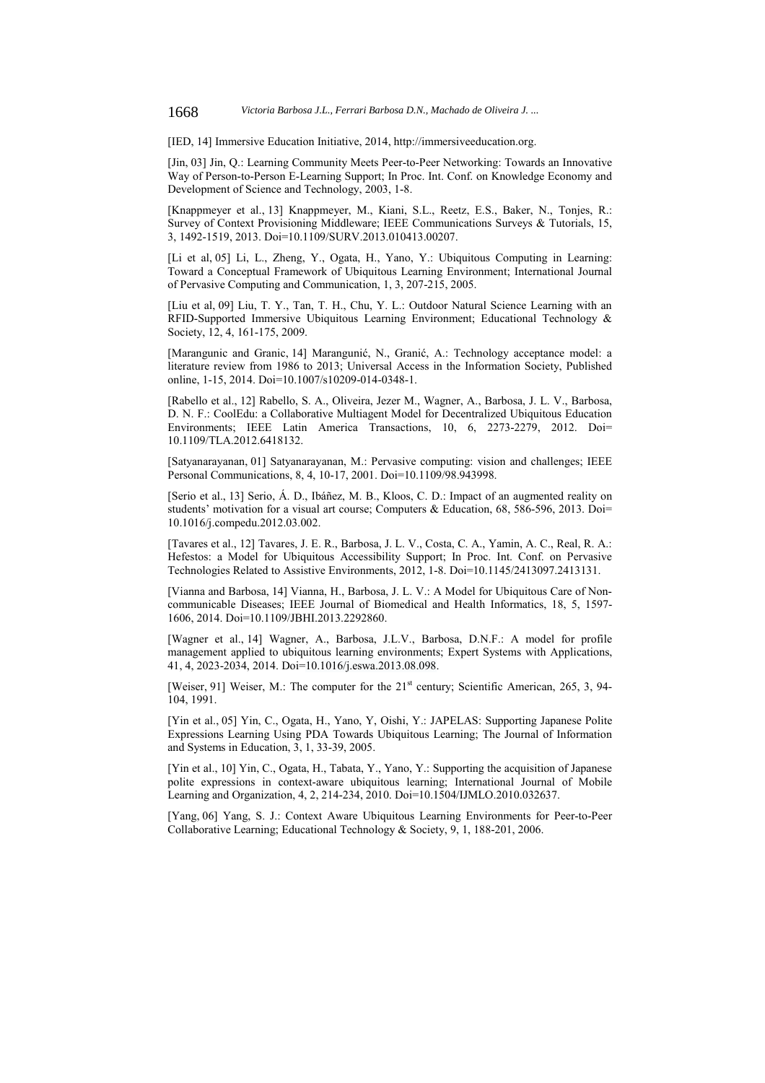[IED, 14] Immersive Education Initiative, 2014, http://immersiveeducation.org.

[Jin, 03] Jin, Q.: Learning Community Meets Peer-to-Peer Networking: Towards an Innovative Way of Person-to-Person E-Learning Support; In Proc. Int. Conf. on Knowledge Economy and Development of Science and Technology, 2003, 1-8.

[Knappmeyer et al., 13] Knappmeyer, M., Kiani, S.L., Reetz, E.S., Baker, N., Tonjes, R.: Survey of Context Provisioning Middleware; IEEE Communications Surveys & Tutorials, 15, 3, 1492-1519, 2013. Doi=10.1109/SURV.2013.010413.00207.

[Li et al, 05] Li, L., Zheng, Y., Ogata, H., Yano, Y.: Ubiquitous Computing in Learning: Toward a Conceptual Framework of Ubiquitous Learning Environment; International Journal of Pervasive Computing and Communication, 1, 3, 207-215, 2005.

[Liu et al, 09] Liu, T. Y., Tan, T. H., Chu, Y. L.: Outdoor Natural Science Learning with an RFID-Supported Immersive Ubiquitous Learning Environment; Educational Technology & Society, 12, 4, 161-175, 2009.

[Marangunic and Granic, 14] Marangunić, N., Granić, A.: Technology acceptance model: a literature review from 1986 to 2013; Universal Access in the Information Society, Published online, 1-15, 2014. Doi=10.1007/s10209-014-0348-1.

[Rabello et al., 12] Rabello, S. A., Oliveira, Jezer M., Wagner, A., Barbosa, J. L. V., Barbosa, D. N. F.: CoolEdu: a Collaborative Multiagent Model for Decentralized Ubiquitous Education Environments; IEEE Latin America Transactions, 10, 6, 2273-2279, 2012. Doi= 10.1109/TLA.2012.6418132.

[Satyanarayanan, 01] Satyanarayanan, M.: Pervasive computing: vision and challenges; IEEE Personal Communications, 8, 4, 10-17, 2001. Doi=10.1109/98.943998.

[Serio et al., 13] Serio, Á. D., Ibáñez, M. B., Kloos, C. D.: Impact of an augmented reality on students' motivation for a visual art course; Computers & Education, 68, 586-596, 2013. Doi= 10.1016/j.compedu.2012.03.002.

[Tavares et al., 12] Tavares, J. E. R., Barbosa, J. L. V., Costa, C. A., Yamin, A. C., Real, R. A.: Hefestos: a Model for Ubiquitous Accessibility Support; In Proc. Int. Conf. on Pervasive Technologies Related to Assistive Environments, 2012, 1-8. Doi=10.1145/2413097.2413131.

[Vianna and Barbosa, 14] Vianna, H., Barbosa, J. L. V.: A Model for Ubiquitous Care of Noncommunicable Diseases; IEEE Journal of Biomedical and Health Informatics, 18, 5, 1597- 1606, 2014. Doi=10.1109/JBHI.2013.2292860.

[Wagner et al., 14] Wagner, A., Barbosa, J.L.V., Barbosa, D.N.F.: A model for profile management applied to ubiquitous learning environments; Expert Systems with Applications, 41, 4, 2023-2034, 2014. Doi=10.1016/j.eswa.2013.08.098.

[Weiser, 91] Weiser, M.: The computer for the  $21<sup>st</sup>$  century; Scientific American, 265, 3, 94-104, 1991.

[Yin et al., 05] Yin, C., Ogata, H., Yano, Y, Oishi, Y.: JAPELAS: Supporting Japanese Polite Expressions Learning Using PDA Towards Ubiquitous Learning; The Journal of Information and Systems in Education, 3, 1, 33-39, 2005.

[Yin et al., 10] Yin, C., Ogata, H., Tabata, Y., Yano, Y.: Supporting the acquisition of Japanese polite expressions in context-aware ubiquitous learning; International Journal of Mobile Learning and Organization, 4, 2, 214-234, 2010. Doi=10.1504/IJMLO.2010.032637.

[Yang, 06] Yang, S. J.: Context Aware Ubiquitous Learning Environments for Peer-to-Peer Collaborative Learning; Educational Technology & Society, 9, 1, 188-201, 2006.